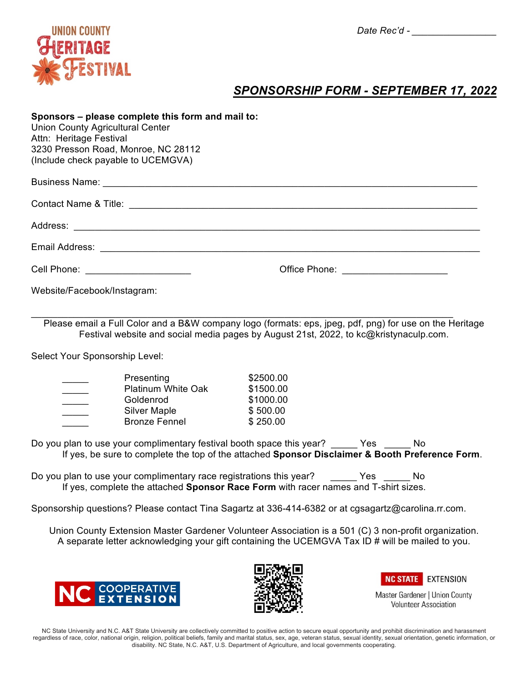

# *SPONSORSHIP FORM - SEPTEMBER 17, 2022*

### **Sponsors – please complete this form and mail to:**

Union County Agricultural Center Attn: Heritage Festival 3230 Presson Road, Monroe, NC 28112 (Include check payable to UCEMGVA)

| Cell Phone: <u>www.community.com</u> |  |
|--------------------------------------|--|

Website/Facebook/Instagram:

Please email a Full Color and a B&W company logo (formats: eps, jpeg, pdf, png) for use on the Heritage Festival website and social media pages by August 21st, 2022, to kc@kristynaculp.com.

 $\_$ 

Select Your Sponsorship Level:

| Presenting                | \$2500.00 |
|---------------------------|-----------|
| <b>Platinum White Oak</b> | \$1500.00 |
| Goldenrod                 | \$1000.00 |
| <b>Silver Maple</b>       | \$500.00  |
| <b>Bronze Fennel</b>      | \$250.00  |

Do you plan to use your complimentary festival booth space this year? \_\_\_\_\_\_Yes \_\_\_\_\_\_No If yes, be sure to complete the top of the attached **Sponsor Disclaimer & Booth Preference Form**.

Do you plan to use your complimentary race registrations this year? The Yes The No If yes, complete the attached **Sponsor Race Form** with racer names and T-shirt sizes.

Sponsorship questions? Please contact Tina Sagartz at 336-414-6382 or at cgsagartz@carolina.rr.com.

Union County Extension Master Gardener Volunteer Association is a 501 (C) 3 non-profit organization. A separate letter acknowledging your gift containing the UCEMGVA Tax ID # will be mailed to you.







Master Gardener | Union County **Volunteer Association** 

NC State University and N.C. A&T State University are collectively committed to positive action to secure equal opportunity and prohibit discrimination and harassment regardless of race, color, national origin, religion, political beliefs, family and marital status, sex, age, veteran status, sexual identity, sexual orientation, genetic information, or disability. NC State, N.C. A&T, U.S. Department of Agriculture, and local governments cooperating.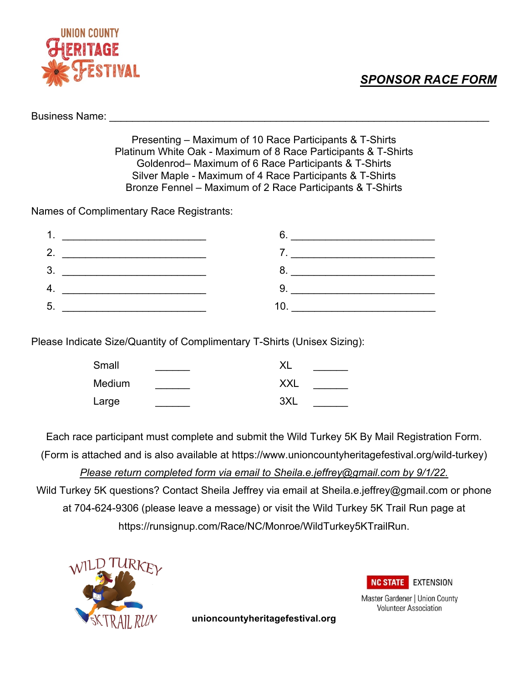## *SPONSOR RACE FORM*



Business Name:

Presenting – Maximum of 10 Race Participants & T-Shirts Platinum White Oak - Maximum of 8 Race Participants & T-Shirts Goldenrod– Maximum of 6 Race Participants & T-Shirts Silver Maple - Maximum of 4 Race Participants & T-Shirts Bronze Fennel – Maximum of 2 Race Participants & T-Shirts

Names of Complimentary Race Registrants:

| . . |                                            |              |                                                                                                                                                                                                                                   |
|-----|--------------------------------------------|--------------|-----------------------------------------------------------------------------------------------------------------------------------------------------------------------------------------------------------------------------------|
| 2.  |                                            |              | $\mathbf{I}$ . The contract of the contract of the contract of the contract of the contract of the contract of the contract of the contract of the contract of the contract of the contract of the contract of the contract of th |
| 3.  |                                            |              |                                                                                                                                                                                                                                   |
| 4.  | <u> 1980 - John Stein, Amerikaansk kan</u> |              | $\mathsf{q}$ and $\mathsf{q}$                                                                                                                                                                                                     |
| 5.  |                                            | $10^{\circ}$ |                                                                                                                                                                                                                                   |

Please Indicate Size/Quantity of Complimentary T-Shirts (Unisex Sizing):

| Small  | XL         |
|--------|------------|
| Medium | <b>XXL</b> |
| Large  | 3XL        |

Each race participant must complete and submit the Wild Turkey 5K By Mail Registration Form. (Form is attached and is also available at https://www.unioncountyheritagefestival.org/wild-turkey) *Please return completed form via email to Sheila.e.jeffrey@gmail.com by 9/1/22.* Wild Turkey 5K questions? Contact Sheila Jeffrey via email at Sheila.e.jeffrey@gmail.com or phone at 704-624-9306 (please leave a message) or visit the Wild Turkey 5K Trail Run page at https://runsignup.com/Race/NC/Monroe/WildTurkey5KTrailRun.



**NC STATE** EXTENSION

Master Gardener | Union County **Volunteer Association** 

**unioncountyheritagefestival.org**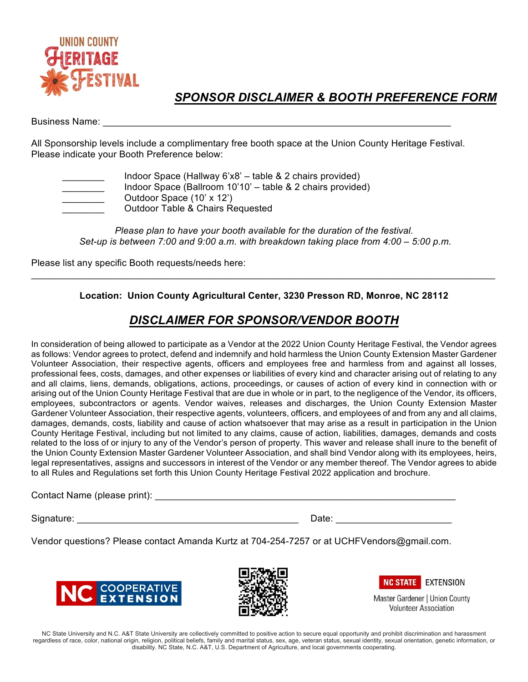

### *SPONSOR DISCLAIMER & BOOTH PREFERENCE FORM*

### Business Name: **Example 18**

All Sponsorship levels include a complimentary free booth space at the Union County Heritage Festival. Please indicate your Booth Preference below:

| Indoor Space (Hallway 6'x8' – table & 2 chairs provided)   |
|------------------------------------------------------------|
| Indoor Space (Ballroom 10'10' - table & 2 chairs provided) |
| Outdoor Space (10' x 12')                                  |
| <b>Outdoor Table &amp; Chairs Requested</b>                |

*Please plan to have your booth available for the duration of the festival. Set-up is between 7:00 and 9:00 a.m. with breakdown taking place from 4:00 – 5:00 p.m.*

Please list any specific Booth requests/needs here:

### **Location: Union County Agricultural Center, 3230 Presson RD, Monroe, NC 28112**

 $\_$ 

## *DISCLAIMER FOR SPONSOR/VENDOR BOOTH*

In consideration of being allowed to participate as a Vendor at the 2022 Union County Heritage Festival, the Vendor agrees as follows: Vendor agrees to protect, defend and indemnify and hold harmless the Union County Extension Master Gardener Volunteer Association, their respective agents, officers and employees free and harmless from and against all losses, professional fees, costs, damages, and other expenses or liabilities of every kind and character arising out of relating to any and all claims, liens, demands, obligations, actions, proceedings, or causes of action of every kind in connection with or arising out of the Union County Heritage Festival that are due in whole or in part, to the negligence of the Vendor, its officers, employees, subcontractors or agents. Vendor waives, releases and discharges, the Union County Extension Master Gardener Volunteer Association, their respective agents, volunteers, officers, and employees of and from any and all claims, damages, demands, costs, liability and cause of action whatsoever that may arise as a result in participation in the Union County Heritage Festival, including but not limited to any claims, cause of action, liabilities, damages, demands and costs related to the loss of or injury to any of the Vendor's person of property. This waver and release shall inure to the benefit of the Union County Extension Master Gardener Volunteer Association, and shall bind Vendor along with its employees, heirs, legal representatives, assigns and successors in interest of the Vendor or any member thereof. The Vendor agrees to abide to all Rules and Regulations set forth this Union County Heritage Festival 2022 application and brochure.

Contact Name (please print): **Example 20** and the contact Name (please print):

Signature: \_\_\_\_\_\_\_\_\_\_\_\_\_\_\_\_\_\_\_\_\_\_\_\_\_\_\_\_\_\_\_\_\_\_\_\_\_\_\_\_\_\_ Date: \_\_\_\_\_\_\_\_\_\_\_\_\_\_\_\_\_\_\_\_\_\_

Vendor questions? Please contact Amanda Kurtz at 704-254-7257 or at UCHFVendors@gmail.com.







Master Gardener | Union County **Volunteer Association** 

NC State University and N.C. A&T State University are collectively committed to positive action to secure equal opportunity and prohibit discrimination and harassment regardless of race, color, national origin, religion, political beliefs, family and marital status, sex, age, veteran status, sexual identity, sexual orientation, genetic information, or disability. NC State, N.C. A&T, U.S. Department of Agriculture, and local governments cooperating.